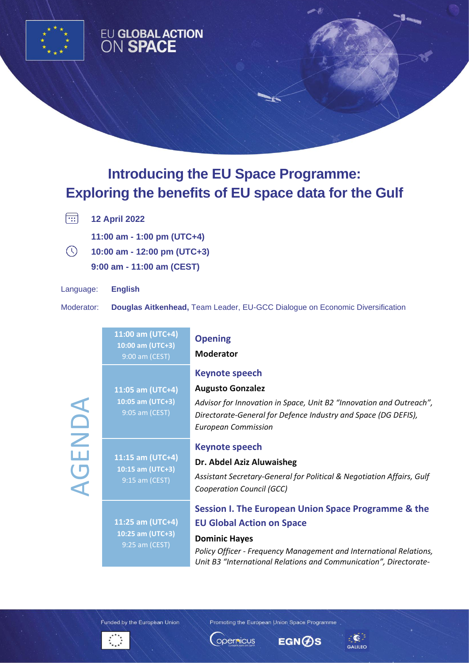

## EU GLOBAL ACTION<br>ON SPACE

## **Introducing the EU Space Programme: Exploring the benefits of EU space data for the Gulf**

 $\boxed{12}$ **12 April 2022** 

**11:00 am - 1:00 pm (UTC+4)**

 $\odot$ **10:00 am - 12:00 pm (UTC+3) 9:00 am - 11:00 am (CEST)**

Language: **English** 

Moderator: **Douglas Aitkenhead,** Team Leader, EU-GCC Dialogue on Economic Diversification

| ENDA<br>$\bigcup$ | 11:00 am (UTC+4)<br>10:00 am (UTC+3)<br>9:00 am (CEST) | <b>Opening</b><br><b>Moderator</b>                                                                                                                                                                                                                         |
|-------------------|--------------------------------------------------------|------------------------------------------------------------------------------------------------------------------------------------------------------------------------------------------------------------------------------------------------------------|
|                   | 11:05 am (UTC+4)<br>10:05 am (UTC+3)<br>9:05 am (CEST) | <b>Keynote speech</b><br><b>Augusto Gonzalez</b><br>Advisor for Innovation in Space, Unit B2 "Innovation and Outreach",<br>Directorate-General for Defence Industry and Space (DG DEFIS),<br><b>European Commission</b>                                    |
|                   | 11:15 am (UTC+4)<br>10:15 am (UTC+3)<br>9:15 am (CEST) | <b>Keynote speech</b><br>Dr. Abdel Aziz Aluwaisheg<br>Assistant Secretary-General for Political & Negotiation Affairs, Gulf<br>Cooperation Council (GCC)                                                                                                   |
|                   | 11:25 am (UTC+4)<br>10:25 am (UTC+3)<br>9:25 am (CEST) | Session I. The European Union Space Programme & the<br><b>EU Global Action on Space</b><br><b>Dominic Hayes</b><br>Policy Officer - Frequency Management and International Relations,<br>Unit B3 "International Relations and Communication", Directorate- |

Funded by the European Union

Promoting the European Union Space Programme







 $\bullet$ 

GALILEO